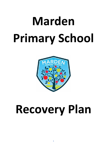# **Marden Primary School**



# **Recovery Plan**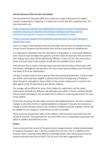# **How the Recovery Plan has been formulated**

The Department for Education (DfE) have produced a range of documents to support schools in preparing for reopening. It is important to stress that this is guidance only. The main documents are:

• [https://www.gov.uk/government/publications/coronavirus-covid-19-implementing](https://www.gov.uk/government/publications/coronavirus-covid-19-implementing-protective-measures-in-education-and-childcare-settings/coronavirus-covid-19-implementing-protective-measures-in-education-and-childcare-settings)[protective-measures-in-education-and-childcare-settings/coronavirus-covid-19](https://www.gov.uk/government/publications/coronavirus-covid-19-implementing-protective-measures-in-education-and-childcare-settings/coronavirus-covid-19-implementing-protective-measures-in-education-and-childcare-settings) [implementing-protective-measures-in-education-and-childcare-settings](https://www.gov.uk/government/publications/coronavirus-covid-19-implementing-protective-measures-in-education-and-childcare-settings/coronavirus-covid-19-implementing-protective-measures-in-education-and-childcare-settings)

• [https://www.gov.uk/government/publications/preparing-for-the-wider-opening-of](https://www.gov.uk/government/publications/preparing-for-the-wider-opening-of-schools-from-1-june)[schools-from-1-june](https://www.gov.uk/government/publications/preparing-for-the-wider-opening-of-schools-from-1-june)

There is a range of other guidance that we have taken into account, for example the Kent County Council Guidance and information from the Kent Association of Headteachers.

It is important to remember that this information is all guidance. It is the responsibility for each school to read and digest the guidance and then make the decisions that are best for their setting. Each school will be significantly different: in terms of size, the community it serves and even down to the number of staff who are available to be in school.

Every decision that is made in this plan starts and ends with the safety of the pupils, staff and families. Although we are educators, this must never take precedence over the health and safety of all of our stakeholders.

The plan is written based on the responses from the parental questionnaire. It also includes the children who have been eligible to attend school since the beginning of lockdown – those classed as vulnerable or those children of key workers whose work is critical to the fight against Covid-19 (shortened to Key Worker children).

The changes will be difficult for some of the children to understand, and the school environment will look very different. We will make every effort to foster a positive Marden Primary School atmosphere, but we expect that it will be an unnerving adjustment for some of the children.

At the time of writing, this plan takes account of all available guidance. The plan is subject to changes as and when further or updated guidance is released. It may also be necessary to change or amend the plan based on the numbers of children and staff available. Parents will be updated on any changes or amendments as soon as possible.

These measures prioritise the safety of the children, staff and wider community from the spread of Covid-19. They represent our very best effort, but it is impossible to guarantee the safety of children and staff from a virus.

# **Preface**

It was announced that, as part of the governments stepped process, schools should prepare to reopen to Reception, Year 1 and Year 6 pupils from 1st June. This is in addition to the provision that is currently being offered to vulnerable pupils, those whose parents are key workers and those who have an EHCP. The 1st June is the date suggested by the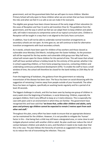government, and not the guaranteed date that we will open to more children. Marden Primary School will only open to these children when we are certain that we have minimised the risks and when we feel it is as safe as we can make it for everyone.

The eligible year groups have been chosen because of the early stage of their education (in the cases of Reception and Year 1) and to aid transition (Year 6). The guidelines from the government, and the way in which we feel we can adapt them to keep children and adults safe, will make it necessary to compromise some of our typical curriculum aims. Children in Reception will be taught in a way that is not aligned to the Early Years curriculum.

In addition, Year 6 will not be able to undertake normal transition arrangements as secondary schools are not open. As time goes on, we will continue to look for alternative transition arrangements with local secondary schools.

As it stands, schools have been open for children of key workers and those classed as vulnerable since Monday 23rd March, including over the Easter holidays. As the provision will still be required for the key worker and vulnerable child group over May half term, school will remain open for these children for this period of time. This will mean that school staff will have worked without a holiday break for the entirety of this period, whether it be in school supporting children, or from home preparing resources, contacting children and undertaking continuous professional development (CPD). To enable the staff to have a small window of time, the school will therefore be closed for the bank holiday on 25th May for all pupils.

From the beginning of lockdown, the guidance from the government on reducing transmission of the disease has been clear. The focus has been on social distancing with the suggestion of remaining 2 metres away from people outside of your household. The other focus has been on hygiene, specifically on washing hands regularly and for a period of at least 20 seconds.

The biggest challenge in schools, and this has been seen by having one group of children in every week since the beginning of lockdown, is social distancing. Children, especially the youngest children, find it very difficult to keep at a 2-metre distance. This is especially the case with peers and in an environment in which they are familiar. The government have recognised this and have said that **'we know that, unlike older children and adults, early years and primary age children cannot be expected to remain 2 metres apart from each other and staff.'**

Throughout this plan, every effort has been made to ensure that an appropriate distance can be maintained for the children. However, it is not possible to mitigate the 'human' factor in this – that being that a child may still leave a designated area, or come close to and instigate physical contact with another child or adult. No plan could ever reduce the risk of contact between children and adults to zero, and therefore it needs to be made clear that this is the case. The plan follows the hierarchy of controls as suggested in the guidance to try to reduce the risk of transmitting the infection. They are: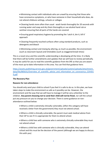• Minimising contact with individuals who are unwell by ensuring that those who have coronavirus symptoms, or who have someone in their household who does, do not attend childcare settings, schools or colleges

• Cleaning hands more often than usual - wash hands thoroughly for 20 seconds with running water and soap and dry them thoroughly or use alcohol hand rub or sanitiser ensuring that all parts of the hands are covered

• Ensuring good respiratory hygiene by promoting the 'catch it, bin it, kill it' approach

• Cleaning frequently touched surfaces often using standard products, such as detergents and bleach

• Minimising contact and mixing by altering, as much as possible, the environment (such as classroom layout) and timetables (such as staggered break times)

This is a novel virus and the scientific understanding is developing all the time. It is likely that there will be further amendments and updates that we will have to review periodically. It may be useful for you to read the scientific guidance from the DfE so that you are aware of the most up-to-date information in this area. You can find that guidance here:

[https://assets.publishing.service.gov.uk/government/uploads/system/uploads/attachment\\_](https://assets.publishing.service.gov.uk/government/uploads/system/uploads/attachment_data/file/885631/Overview_of_scientific_advice_and_information_on_coronavirus_COVID19.pdf) data/file/885631/Overview of scientific advice and information on coronavirus COVID1 [9.pdf](https://assets.publishing.service.gov.uk/government/uploads/system/uploads/attachment_data/file/885631/Overview_of_scientific_advice_and_information_on_coronavirus_COVID19.pdf)

#### **The Recovery Plan**

#### **Reasons for non-attendance**

You should only send your child to school if you feel it is safe to do so. In this plan, we have taken steps to make the environment as safe as it possibly can be. However, the environment and the way that we will have to manage it will be very unfamiliar to the children. **Any parent choosing not to send their child will not be fined**, nor will the school put any pressure on you to change your decision. There is some guidance on nonattendance outlined below:

• Where a child is extremely clinically vulnerable, (often this category will have received a letter from the government) they must not attend school.

• Where a child is clinically vulnerable, the parent must seek medical advice from their GP to see if it is appropriate for them to attend school.

• Where a child lives with someone who is extremely clinically vulnerable they must not attend school

• Where a child lives with someone who is clinically vulnerable, they can attend school and this must be the decision of the parent (although we are happy to discuss this with you)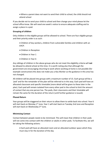• Where a parent does not want to send their child to school, the child should not attend school

If you decide not to send your child to school and then change your mind please let the school office know. We will need one week's notice to ensure adequate staffing and to assign a place in a pod.

# **Grouping of children**

Only children in the eligible groups will be allowed to school. There are four eligible groups and their priority order is as such:

• Children of key workers, children from vulnerable families and children with an EHCP.

- Children in Reception
- Children in Year 1
- Children in Year 6

Any siblings of children in the above groups who do not meet the eligibility criteria will **not** be allowed to attend school at this time. It is worth noting also that although the government are encouraging returning to work where working at home is not possible (for example construction) this does not make you a Key Worker as the guidance in this area has not changed.

All children will be placed into groups with a maximum number of 15. Each group will be a 'pod' and for the remainder of the plan will be referred to in this way. Each pod will have an allocated classroom and specific timetable (more detail will be given to these later in the plan). Each pod will remain isolated from every other pod in the school to limit the amount of contact that any one person has. The pods, their classrooms and their timetable will remain the same for the duration of the return (until further guidance is issued).

#### **Phased Return**

Year groups will be staggered on their return to allow them to settle back into school. Year 6 will start back on Monday 1<sup>st</sup> June, Year 1 will start back on Tuesday 2nd June and Reception will start back on Wednesday 3rd June.

#### **Minimising Contact**

Contact between people needs to be minimised. This will mean that children in their pods will not come into contact with the children or adults in other pods. To facilitate this, we will be taking the following actions:

• Each pod will have an allocated room and an allocated outdoor space which they must stay in for the duration of the day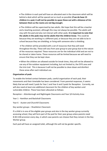• The children in each pod will have an allocated seat in the classroom which will be behind a desk which will be spaced out as much as possible (**if we do have 15 children in a pod, it will not be possible to space these out with a distance of 2m between them as the rooms are not big enough**).

• The children will be supervised by two adults. We hope that this will be a teacher and a teaching assistant, although this may not always be possible. The adults will stay with the pod and also not interact with other pods. **It is important to note that the adults in the pods may not be adults that the children know**. This could be because they are working in a different pod, or because they are not able to be in school because they are shielding, or living with someone who is shielding.

• The children will be provided with a set of resources that they will need throughout the day. These will vary from year group to year group due to the nature of the resources required. These resources are for the individual child and are not to be shared or taken home. These resources will be limited because we will need to ensure that they can be kept clean.

• When the children are allowed outside for break times, they will not be allowed to use any of the outdoor equipment including, but not limited to, the EYFS area and the trim trail. This is because it will not be possible to clean down and disinfect these areas after each individual use.

# **Organisation of pods**

To enable the limited contact between pods, careful organisation of each pod, their movements and their timetable has been considered. From parental responses, it seems likely that we will need 2 pods for Year 1 and Year 6 and 3 pods for Reception. Currently, we will also need at least one additional classroom for the children of key workers and vulnerable children. These have been allocated as follows:

Reception – Attenborough and Nightingale Classrooms and Year 3/4 Activity Area

Year 1 - Hamilton and Backshall Classrooms

Year 6 - Austen and Churchill Classrooms

Key worker groups – Shackleton Classroom

If a child is in one of the eligible year groups and also in the key worker group currently accessing school, they will form part of the pod for their year group unless parents need 8:30-3:00 provision every day, in which case parents can choose that they remain in the Key Worker group.

Each pod will have an assigned toilet, although this will not be gender specific.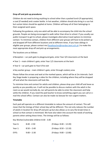# **Drop off and pick up procedures**

Children do not need to bring anything to school other than a packed lunch (if appropriate), a coat (if needed) and a water bottle. In hot weather, children should also bring in a sun hat but suntan lotion should be applied at home. Children will keep all of their belongings in their assigned work space.

Following the guidance, only one adult will be able to accompany the child into the school grounds. People are being encouraged to walk rather than drive to school. If you usually use public transport to get to school, please investigate alternative travel options to minimise contact. To minimise contact, children from different year groups will have to be picked up and dropped off from different locations and at different times. If you have siblings in eligible year groups, please contact me [\(headteacher@marden.kent.sch.uk](mailto:headteacher@marden.kent.sch.uk)) to make the most appropriate drop off and pick up arrangements.

The locations are as follows:

- Reception car park gate to playground gate, enter Year 3/4 classrooms at the back
- Year 1 main children's gate, enter Year 1/2 classrooms at the back
- Year 6 car park gate to Year 6 fire exit
- Key worker group main children's gate, enter through cookery area

Please follow the arrows and wait at the marked spaces, which will be at 2m intervals. Each Key Stage leader is preparing a video for the children, including where they will be dropped off and what the classrooms will look like.

To minimise time and contact for adults and children, please drop your child off and leave as quickly as you possibly can. It will not be possible to discuss matters with the adult in the room as we would normally do, nor will parents be able to enter the classroom and help settle the children. If you need the pod teacher to know something urgent you can call or email the school office. Contact can also be made via Seesaw for non-urgent matters.

#### **Timetable**

Each pod will operate on a different timetable to reduce the amount of contact. This will mean that the timings of their school day will be different. This not only reduces the number of adults in location for drop off and pick up but also allows us to vary the break times in school so that contact is minimised. We have also taken into account the needs of working parents when setting these times. The timings will be as follows:

Key Worker/vulnerable children 8:30 - 3.00

| Year 6: | $8:40 - 2:50$ | (Fridays: 8:40 - 12:20)   |
|---------|---------------|---------------------------|
| Year 1: | $8:50 - 2:40$ | $(Fridays: 8:50 - 12:10)$ |
| EYFS:   | $9:00 - 2:30$ | (Fridays: 9:00 - 12:00)   |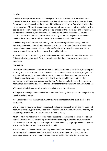# **Lunches**

Children in Reception and Year 1 will be eligible for a Universal Infant Free School Meal. Children in Year 6 who would normally have a free school meal will be able to request one. Supermarket vouchers will not be provided for children in receipt of free school meals who return to school. Alternatively, and our preferred method, you can send your child in with a packed lunch. To minimise contact, the meals provided by the school catering company will be packed in a take away container and will be delivered to the classrooms. Key worker children will be able to have a school lunch on Fridays and those eligible for free school meals in Reception, Year 1 and Year 6 can have a packed lunch to take home.

It will not be possible for our staff to fully assist in supporting children eating lunch. For example, adults will not be able to be called over to cut up or open items as this will close the gap between adults and children and therefore increase the risk. Please bear this in mind when deciding on the lunch you wish your child to have.

To avoid children in pods mixing, the children will eat their lunches in their allocated rooms. Children who bring in a lunch from home will have their lunch box next to them in the classroom.

# **Curriculum**

At Marden Primary School, we have worked incredibly hard on our curriculum, teaching and learning to ensure that your children receive a broad and balanced curriculum, taught in a way that helps them to understand the concepts deeply and in a way that makes them enjoy the learning process. Unfortunately, it will not be possible for us to teach the curriculum for all three-year groups and the Key Worker group to the level that we would normally pride ourselves on. There are various reasons for this including, but not limited to:

• The variability in home learning undertaken in the previous 11 weeks.

• The prior knowledge of where children are in their learning if the pod is not being taken by the child's class teacher.

• The ability to deliver the curriculum with the restrictions required to keep children and adults safe.

We will have to modify our teaching approach to keep a distance from children in each pod as much as possible, particularly close face to face or 1-to-1 support. We will be focusing on supporting the children as much as we can in their learning.

Much of what we will cover in schools will be the same as those who choose not to attend school. The children will be working on their Seesaw learning in the classroom under the supervision of the adult(s). The learning for the children in all year groups will be completed at the specific desk or learning space for that child.

The classroom will have to be adapted to prevent and limit the contact points. Any soft furnishings and unnecessary equipment will have to be removed from the classroom. Anything that cannot be removed but is not needed will be blocked off to prevent use.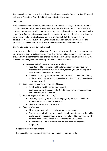Teachers will continue to provide activities for all year groups i.e. Years 2, 3, 4 and 5 as well as those in Reception, Years 1 and 6 who do not return to school.

# **Behaviour**

Staff have developed a Covid-19 addendum to our Behaviour Policy. It is important that all children adhere to these rules to keep everyone safe. We will be sending out a Covid-19 home-school agreement which parents must agree to – please either print and send back or e-mail the office to confirm acceptance. It is important to note that if children are found to be breaking the Covid-19 rules in school, or if we find out that they are not taking appropriate measures out of school, their school place can be withdrawn until we are satisfied that they do not pose a threat to the safety of other children or adults.

# **Effective infection protection and control**

In order to keep the children and adults safe, we need to ensure that we do as much as we can to control and protect against infection. The science and guidance that we have been provided with is clear that the best chance we have of minimising transmission of the virus is based around hygiene and cleaning. This comes under four areas:

- 1. Minimise contact with anyone showing symptoms
	- Parents need to check their children for symptoms. If you have any concerns that your child may have any symptoms, you must keep your child at home and isolate for 7 days.
	- If a child shows any symptoms in school, they will be taken immediately to the SENCo room. Parents will be called and the child must be collected as soon as possible.
- 2. Clean hands regularly and for at least 20 seconds
	- Handwashing must be completed regularly.
	- Each classroom will be supplied with additional resources such as soap, hand sanitizer, tissues and bins.
- 3. Personal hygiene will need to be taught
	- Children, especially those in the younger year groups will need to be shown how to wash hands effectively.
	- Regular monitoring will take place.
- 4. Cleaning of surfaces
	- Cleaning products will need to be stored in each room.
	- Staff in each pod will have to regularly clean frequently used surfaces like desks, backs of chairs and equipment. This will need to be done when the children wash their hands so that they return to a clean area.
	- Administrative and site staff will also have to clean touchpoints frequently.

# **Personal Protective Equipment**

It is easiest to share the specific government guidance here for clarity: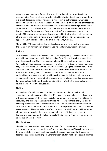Wearing a face covering or facemask in schools or other education settings is not recommended. Face coverings may be beneficial for short periods indoors where there is a risk of close social contact with people you do not usually meet and where social distancing and other measures cannot be maintained, for example on public transport or in some shops. This does not apply to schools or other education settings. Schools and other education or childcare settings should therefore not require staff, children and learners to wear face coverings. The majority of staff in education settings will not require PPE beyond what they would normally need for their work, even if they are not always able to maintain a distance of 2 metres from others. The only exception that applies for us in relation to PPE is if a child shows any symptoms.

There will be PPE supplies including masks, gloves, aprons, hand wash and sanitizer in the SENCo room for members of staff to use if a child shows symptoms of illness.

# **Uniform**

To enable you to wash and clean your child's clothing regularly, it will not be possible for the children to come to school in their school uniform. They will be able to wear their own clothes each day. They must have completely different clothes on for every day. Your child will have opportunities every day for physical activity so we recommend that they come into school wearing trainers. We will also be using the outdoors regularly as ventilation and open spaces reduces the risk of transmission. Therefore, please make sure that the clothing your child wears to school is appropriate for them to be undertaking some physical activity. Children will not need to bring a book bag to school. All that the children will need is their lunchbox, which can include multiple snacks, and a full water bottle. Children will not be able to fill their water bottles at school so please ensure their bottle is an adequate size.

# **Staffing**

All members of staff have been consulted on this plan and their thoughts and suggestions taken into account. Not all staff are currently able to be in school and they will continue to support the children and staff by working from home. This will include resourcing and planning the Seesaw activities. All teaching staff are legally entitled to Planning, Preparation and Assessment time (PPA). This is no different in this situation. To limit the contact with additional adults, it will not be possible to run PPA in the same way that we would do normally. Therefore, Friday will be a half day for children, with a phased closure to enable the teachers to complete the PPA time and prepare the learning and resources for the following week. The timings for Friday pick up are given under the Timetable section.

# **Plan Variations**

This plan has been written based on the numbers from the parental surveys and assumes that there will be sufficient staff for two members of staff in each room. In Year 6 we currently have enough staff members for 3 teachers so one pod will have one teacher – this will be a smaller pod. Other members of staff will be on site such as office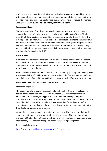staff, caretaker and a designated safeguarding lead (who cannot be based in a room with a pod). If we are unable to meet the required number of staff for each pod, we will need to amend this plan. This would mean that we would have to reduce the number of year groups who would be able to attend, starting with Year 6.

# **Wraparound Care**

Since the beginning of lockdown, we have been operating slightly longer hours to support the needs of our key workers (school open to children at 8:30 am). This has meant that there has been some additional wraparound care for these children. It will not be possible to offer wraparound care to all pupils eligible to attend because we will not be able to minimise contact. As has been mentioned throughout this plan, children will be in pods and each pod must remain isolated from other pods. Children of key workers will still be able to access the slightly longer opening hours to allow parents to continue the fight against Covid19.

# **Medical Needs**

If children require inhalers or Piriton and/or Epi-Pens for severe allergies, the parent must ensure that in-date medicine is available in school and this will be kept in the child's pod. No other medication will be given; if children require antibiotics or Calpol they should be kept at home.

First aid: children will tend to this themselves if it is minor (e.g. wet paper towel applied themselves if able to) and basic PPE will be provided in the first aid bags for staff who are administering first aid to protect both them and your child (aprons, gloves, masks).

# **What will happen if a child shows symptoms of COVID-19?**

Please see Appendix 2.

The government have advised that staff and pupils in all settings will be eligible for testing if they become ill with coronavirus symptoms, as will members of their household. When a child, young person or staff member develops symptoms compatible with coronavirus, they should be sent home and advised to self-isolate for 7 days. Their fellow household members should self-isolate for 14 days. All staff and students who are attending an education or childcare setting will have access to a test if they display symptoms of coronavirus.

Where the child, young person or staff member tests positive, the rest of their pod should be sent home and advised to self-isolate for 14 days. The other household members of that pod do not need to self-isolate unless the child, young person or staff member they live with from that pod subsequently develops symptoms.

How to apply for a test:

<https://www.gov.uk/guidance/coronavirus-covid-19-getting-tested>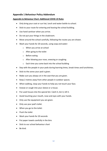# **Appendix 1 Behaviour Policy Addendum**

# **Appendix to Behaviour Chart: Additional COVID-19 Rules**

- Only bring your coat or sun hat, lunch and water bottle to school.
- Stick to your route for entering and leaving the school building.
- Use hand sanitiser when you arrive.
- Do not put your things in the cloakroom.
- Move around the school carefully, following the routes you are shown.
- Wash your hands for 20 seconds, using soap and water:
	- o When you arrive at school
	- o After going to the toilet
	- o Before eating
	- o After blowing your nose, sneezing or coughing
	- o Each time you come back into the school building
- Stay with the people in your pods during learning times, break times and lunchtimes.
- Stick to the zones your pod is given.
- Make sure you always sit in the seat that you are given.
- Keep 2 metres away from other people in outdoor spaces.
- When walking, clasp your hands to help you not touch your face.
- Sneeze or cough into your sleeve or a tissue.
- Put used tissues into the special bin: Catch it, bin it, kill it.
- Avoid touching your mouth, nose and eyes with your hands.
- Only use the equipment you are given.
- Only use your pod's toilet.
- When you go to the toilet:
- Flush the toilet
- Wash your hands for 20 seconds
- Put paper towels carefully in the bins
- Stick to our school behaviour chart
- Be kind.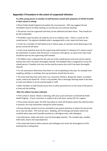# **Appendix 2 Procedure in the event of suspected infection**

**If a child, young person or member of staff becomes unwell with symptoms of COVID-19 while in their school or setting:** 

• Phone Public Health England and explain the circumstances. PHE may suggest full and immediate closure for deep cleaning, or say that you can continue teaching.

• The person must be supported until they can be collected and taken home. They should not be left unattended.

• The SENCo room has been set aside for use as an isolation room. There is a chair for the unwell person. The adjacent disabled toilet is equipped with a sink, towel and hand soap.

• A chair for a member of staff needs to be 2 metres away, to maintain social distancing as the person cannot be left alone.

• A face mask should be worn by the supervising staff member if a distance of 2 metres cannot be maintained. If contact with the person is necessary, then gloves, an apron and a face mask should be worn by the supervising staff member.

• The SENCo room is allocated for the sole use of the unwell person and must not be used by anyone else until it has been thoroughly cleaned. The disabled toilet is assigned for use by the unwell person, if needed, and must not be used by anyone else until it has been thoroughly cleaned.

• If a risk assessment determines that there is a risk of splashing to the eyes, for example from coughing, spitting, or vomiting, then eye protection should also be worn.

• The areas that they have come from, e.g. classroom, kitchens, dining hall, toilets, circulation routes, need to be closed off. If this is not possible, then a thorough cleaning needs to be done on each area before it can be used by pupils or staff.

• Other members of staff should ensure that no other personnel are on the route of the person as they exit the building.

#### **After the sufferer has been collected:**

• If the school is closed, initiate a cleansing, with your usual contractor as directed by Public Health England. If your contractor is unable to do a full clean, contact KCC for support.

• If the school remains open, the PHE may advise to close off all places where the child has been. In practice, this may necessitate closing the school anyway.

• During cleaning, cleaners must be reminded to pay special attention to where the person has sat or was lain down. PPE must be worn. Bedding, soft furnishings and towels need to be carefully taken away and if possible washed on a 60 degree wash, with detergent.

• Any bathrooms, toilets and sinks, must be thoroughly cleaned. This includes taps, handles, toilet seats, dryers and soap dispensers

• The school will need to inform parents and colleagues but stress the thoroughness of the cleaning that is taking place.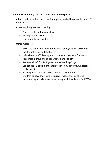# **Appendix 3 Cleaning the classrooms and shared spaces**

All pods will have their own cleaning supplies and will frequently clean off hard surfaces.

Areas requiring frequent cleaning:

- Tops of desks and tops of chairs
- Any equipment used
- Touch points such as doors

Other measures:

- Access to hand soap and antibacterial hand gel in all classrooms, toilets, sink areas and staff areas
- Office based staff cleaning touch points and keypads frequently
- Resources in trays and cupboards to be taped off
- Remove all soft furnishings/cushions/beanbags/rugs
- Cannot use PE equipment that is touched by hands (e.g. netballs, basketballs)
- Reading books and resources cannot be taken home
- Children to have their own resources, that cannot be shared (resources appropriate to age, such as playdoh and craft for EYFS/Y1)